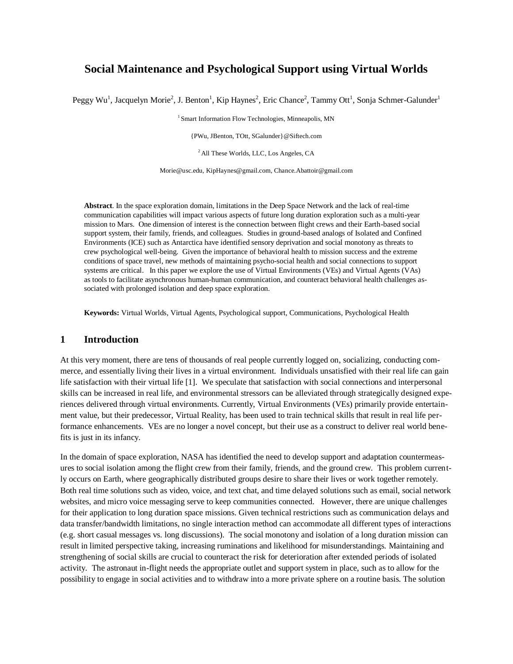# **Social Maintenance and Psychological Support using Virtual Worlds**

Peggy Wu<sup>1</sup>, Jacquelyn Morie<sup>2</sup>, J. Benton<sup>1</sup>, Kip Haynes<sup>2</sup>, Eric Chance<sup>2</sup>, Tammy Ott<sup>1</sup>, Sonja Schmer-Galunder<sup>1</sup>

<sup>1</sup> Smart Information Flow Technologies, Minneapolis, MN

{PWu, JBenton, TOtt, SGalunder}@Siftech.com

<sup>2</sup>All These Worlds, LLC, Los Angeles, CA

[Morie@usc.edu,](mailto:Morie@usc.edu) [KipHaynes@gmail.com,](mailto:KipHaynes@gmail.com) Chance.Abattoir@gmail.com

**Abstract**. In the space exploration domain, limitations in the Deep Space Network and the lack of real-time communication capabilities will impact various aspects of future long duration exploration such as a multi-year mission to Mars. One dimension of interest is the connection between flight crews and their Earth-based social support system, their family, friends, and colleagues. Studies in ground-based analogs of Isolated and Confined Environments (ICE) such as Antarctica have identified sensory deprivation and social monotony as threats to crew psychological well-being. Given the importance of behavioral health to mission success and the extreme conditions of space travel, new methods of maintaining psycho-social health and social connections to support systems are critical. In this paper we explore the use of Virtual Environments (VEs) and Virtual Agents (VAs) as tools to facilitate asynchronous human-human communication, and counteract behavioral health challenges associated with prolonged isolation and deep space exploration.

**Keywords:** Virtual Worlds, Virtual Agents, Psychological support, Communications, Psychological Health

### **1 Introduction**

At this very moment, there are tens of thousands of real people currently logged on, socializing, conducting commerce, and essentially living their lives in a virtual environment. Individuals unsatisfied with their real life can gain life satisfaction with their virtual life [1]. We speculate that satisfaction with social connections and interpersonal skills can be increased in real life, and environmental stressors can be alleviated through strategically designed experiences delivered through virtual environments. Currently, Virtual Environments (VEs) primarily provide entertainment value, but their predecessor, Virtual Reality, has been used to train technical skills that result in real life performance enhancements. VEs are no longer a novel concept, but their use as a construct to deliver real world benefits is just in its infancy.

In the domain of space exploration, NASA has identified the need to develop support and adaptation countermeasures to social isolation among the flight crew from their family, friends, and the ground crew. This problem currently occurs on Earth, where geographically distributed groups desire to share their lives or work together remotely. Both real time solutions such as video, voice, and text chat, and time delayed solutions such as email, social network websites, and micro voice messaging serve to keep communities connected. However, there are unique challenges for their application to long duration space missions. Given technical restrictions such as communication delays and data transfer/bandwidth limitations, no single interaction method can accommodate all different types of interactions (e.g. short casual messages vs. long discussions). The social monotony and isolation of a long duration mission can result in limited perspective taking, increasing ruminations and likelihood for misunderstandings. Maintaining and strengthening of social skills are crucial to counteract the risk for deterioration after extended periods of isolated activity. The astronaut in-flight needs the appropriate outlet and support system in place, such as to allow for the possibility to engage in social activities and to withdraw into a more private sphere on a routine basis. The solution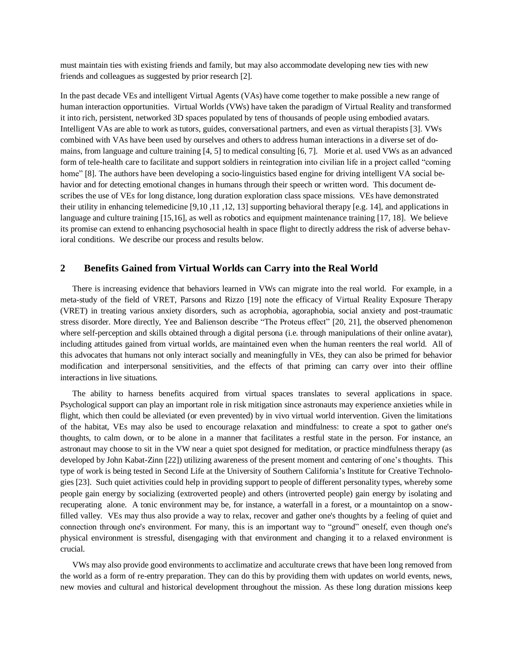must maintain ties with existing friends and family, but may also accommodate developing new ties with new friends and colleagues as suggested by prior research [2].

In the past decade VEs and intelligent Virtual Agents (VAs) have come together to make possible a new range of human interaction opportunities. Virtual Worlds (VWs) have taken the paradigm of Virtual Reality and transformed it into rich, persistent, networked 3D spaces populated by tens of thousands of people using embodied avatars. Intelligent VAs are able to work as tutors, guides, conversational partners, and even as virtual therapists [3]. VWs combined with VAs have been used by ourselves and others to address human interactions in a diverse set of domains, from language and culture training [4, 5] to medical consulting [6, 7]. Morie et al. used VWs as an advanced form of tele-health care to facilitate and support soldiers in reintegration into civilian life in a project called "coming home" [8]. The authors have been developing a socio-linguistics based engine for driving intelligent VA social behavior and for detecting emotional changes in humans through their speech or written word. This document describes the use of VEs for long distance, long duration exploration class space missions. VEs have demonstrated their utility in enhancing telemedicine [9,10 ,11 ,12, 13] supporting behavioral therapy [e.g. 14], and applications in language and culture training [15,16], as well as robotics and equipment maintenance training [17, 18]. We believe its promise can extend to enhancing psychosocial health in space flight to directly address the risk of adverse behavioral conditions. We describe our process and results below.

#### **2 Benefits Gained from Virtual Worlds can Carry into the Real World**

<span id="page-1-1"></span><span id="page-1-0"></span>There is increasing evidence that behaviors learned in VWs can migrate into the real world. For example, in a meta-study of the field of VRET, Parsons and Rizzo [19] note the efficacy of Virtual Reality Exposure Therapy (VRET) in treating various anxiety disorders, such as acrophobia, agoraphobia, social anxiety and post-traumatic stress disorder. More directly, Yee and Balienson describe "The Proteus effect" [20, 21], the observed phenomenon where self-perception and skills obtained through a digital persona (i.e. through manipulations of their online avatar), including attitudes gained from virtual worlds, are maintained even when the human reenters the real world. All of this advocates that humans not only interact socially and meaningfully in VEs, they can also be primed for behavior modification and interpersonal sensitivities, and the effects of that priming can carry over into their offline interactions in live situations.

The ability to harness benefits acquired from virtual spaces translates to several applications in space. Psychological support can play an important role in risk mitigation since astronauts may experience anxieties while in flight, which then could be alleviated (or even prevented) by in vivo virtual world intervention. Given the limitations of the habitat, VEs may also be used to encourage relaxation and mindfulness: to create a spot to gather one's thoughts, to calm down, or to be alone in a manner that facilitates a restful state in the person. For instance, an astronaut may choose to sit in the VW near a quiet spot designed for meditation, or practice mindfulness therapy (as developed by John Kabat-Zinn [22]) utilizing awareness of the present moment and centering of one's thoughts. This type of work is being tested in Second Life at the University of Southern California's Institute for Creative Technologies [23]. Such quiet activities could help in providing support to people of different personality types, whereby some people gain energy by socializing (extroverted people) and others (introverted people) gain energy by isolating and recuperating alone. A tonic environment may be, for instance, a waterfall in a forest, or a mountaintop on a snowfilled valley. VEs may thus also provide a way to relax, recover and gather one's thoughts by a feeling of quiet and connection through one's environment. For many, this is an important way to "ground" oneself, even though one's physical environment is stressful, disengaging with that environment and changing it to a relaxed environment is crucial.

VWs may also provide good environments to acclimatize and acculturate crews that have been long removed from the world as a form of re-entry preparation. They can do this by providing them with updates on world events, news, new movies and cultural and historical development throughout the mission. As these long duration missions keep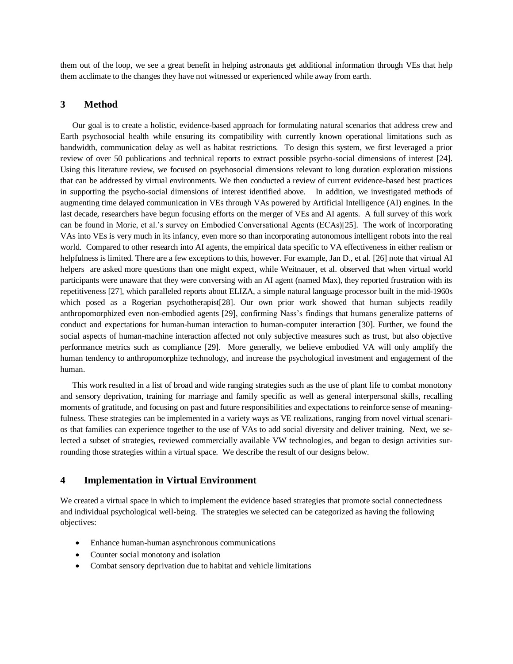them out of the loop, we see a great benefit in helping astronauts get additional information through VEs that help them acclimate to the changes they have not witnessed or experienced while away from earth.

#### **3 Method**

Our goal is to create a holistic, evidence-based approach for formulating natural scenarios that address crew and Earth psychosocial health while ensuring its compatibility with currently known operational limitations such as bandwidth, communication delay as well as habitat restrictions. To design this system, we first leveraged a prior review of over 50 publications and technical reports to extract possible psycho-social dimensions of interest [24]. Using this literature review, we focused on psychosocial dimensions relevant to long duration exploration missions that can be addressed by virtual environments. We then conducted a review of current evidence-based best practices in supporting the psycho-social dimensions of interest identified above. In addition, we investigated methods of augmenting time delayed communication in VEs through VAs powered by Artificial Intelligence (AI) engines. In the last decade, researchers have begun focusing efforts on the merger of VEs and AI agents. A full survey of this work can be found in Morie, et al.'s survey on Embodied Conversational Agents (ECAs)[25]. The work of incorporating VAs into VEs is very much in its infancy, even more so than incorporating autonomous intelligent robots into the real world. Compared to other research into AI agents, the empirical data specific to VA effectiveness in either realism or helpfulness is limited. There are a few exceptions to this, however. For example, Jan D., et al. [26] note that virtual AI helpers are asked more questions than one might expect, while Weitnauer, et al. observed that when virtual world participants were unaware that they were conversing with an AI agent (named Max), they reported frustration with its repetitiveness [27], which paralleled reports about ELIZA, a simple natural language processor built in the mid-1960s which posed as a Rogerian psychotherapist<sup>[28]</sup>. Our own prior work showed that human subjects readily anthropomorphized even non-embodied agents [29], confirming Nass's findings that humans generalize patterns of conduct and expectations for human-human interaction to human-computer interaction [30]. Further, we found the social aspects of human-machine interaction affected not only subjective measures such as trust, but also objective performance metrics such as compliance [\[29\]](#page-2-0). More generally, we believe embodied VA will only amplify the human tendency to anthropomorphize technology, and increase the psychological investment and engagement of the human.

<span id="page-2-1"></span><span id="page-2-0"></span>This work resulted in a list of broad and wide ranging strategies such as the use of plant life to combat monotony and sensory deprivation, training for marriage and family specific as well as general interpersonal skills, recalling moments of gratitude, and focusing on past and future responsibilities and expectations to reinforce sense of meaningfulness. These strategies can be implemented in a variety ways as VE realizations, ranging from novel virtual scenarios that families can experience together to the use of VAs to add social diversity and deliver training. Next, we selected a subset of strategies, reviewed commercially available VW technologies, and began to design activities surrounding those strategies within a virtual space. We describe the result of our designs below.

#### **4 Implementation in Virtual Environment**

We created a virtual space in which to implement the evidence based strategies that promote social connectedness and individual psychological well-being. The strategies we selected can be categorized as having the following objectives:

- Enhance human-human asynchronous communications
- Counter social monotony and isolation
- Combat sensory deprivation due to habitat and vehicle limitations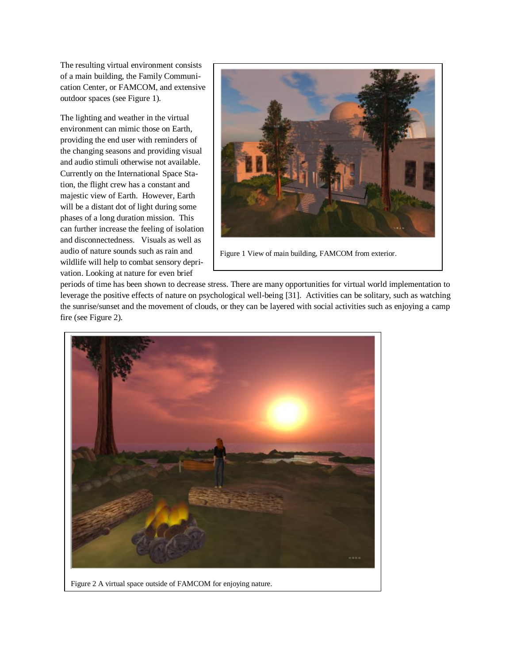The resulting virtual environment consists of a main building, the Family Communication Center, or FAMCOM, and extensive outdoor spaces (see Figure 1).

The lighting and weather in the virtual environment can mimic those on Earth, providing the end user with reminders of the changing seasons and providing visual and audio stimuli otherwise not available. Currently on the International Space Station, the flight crew has a constant and majestic view of Earth. However, Earth will be a distant dot of light during some phases of a long duration mission. This can further increase the feeling of isolation and disconnectedness. Visuals as well as audio of nature sounds such as rain and wildlife will help to combat sensory deprivation. Looking at nature for even brief



Figure 1 View of main building, FAMCOM from exterior.

periods of time has been shown to decrease stress. There are many opportunities for virtual world implementation to leverage the positive effects of nature on psychological well-being [31]. Activities can be solitary, such as watching the sunrise/sunset and the movement of clouds, or they can be layered with social activities such as enjoying a camp fire (see Figure 2).



Figure 2 A virtual space outside of FAMCOM for enjoying nature.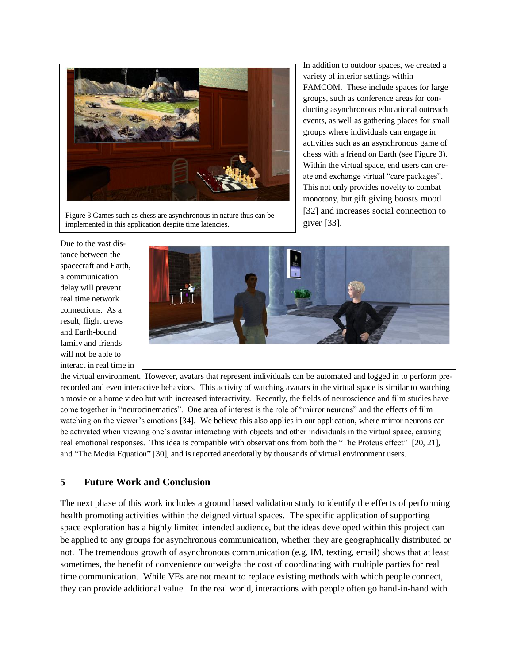

Figure 3 Games such as chess are asynchronous in nature thus can be implemented in this application despite time latencies.

In addition to outdoor spaces, we created a variety of interior settings within FAMCOM. These include spaces for large groups, such as conference areas for conducting asynchronous educational outreach events, as well as gathering places for small groups where individuals can engage in activities such as an asynchronous game of chess with a friend on Earth (see Figure 3). Within the virtual space, end users can create and exchange virtual "care packages". This not only provides novelty to combat monotony, but gift giving boosts mood [32] and increases social connection to giver [33].

Due to the vast distance between the spacecraft and Earth, a communication delay will prevent real time network connections. As a result, flight crews and Earth-bound family and friends will not be able to interact in real time in



the virtual environment. However, avatars that represent individuals can be automated and logged in to perform prerecorded and even interactive behaviors. This activity of watching avatars in the virtual space is similar to watching a movie or a home video but with increased interactivity. Recently, the fields of neuroscience and film studies have come together in "neurocinematics". One area of interest is the role of "mirror neurons" and the effects of film watching on the viewer's emotions [34]. We believe this also applies in our application, where mirror neurons can be activated when viewing one's avatar interacting with objects and other individuals in the virtual space, causing real emotional responses. This idea is compatible with observations from both the "The Proteus effect" [\[20,](#page-1-0) [21\]](#page-1-1), and "The Media Equation" [\[30\]](#page-2-1), and is reported anecdotally by thousands of virtual environment users.

## **5 Future Work and Conclusion**

The next phase of this work includes a ground based validation study to identify the effects of performing health promoting activities within the deigned virtual spaces. The specific application of supporting space exploration has a highly limited intended audience, but the ideas developed within this project can be applied to any groups for asynchronous communication, whether they are geographically distributed or not. The tremendous growth of asynchronous communication (e.g. IM, texting, email) shows that at least sometimes, the benefit of convenience outweighs the cost of coordinating with multiple parties for real time communication. While VEs are not meant to replace existing methods with which people connect, they can provide additional value. In the real world, interactions with people often go hand-in-hand with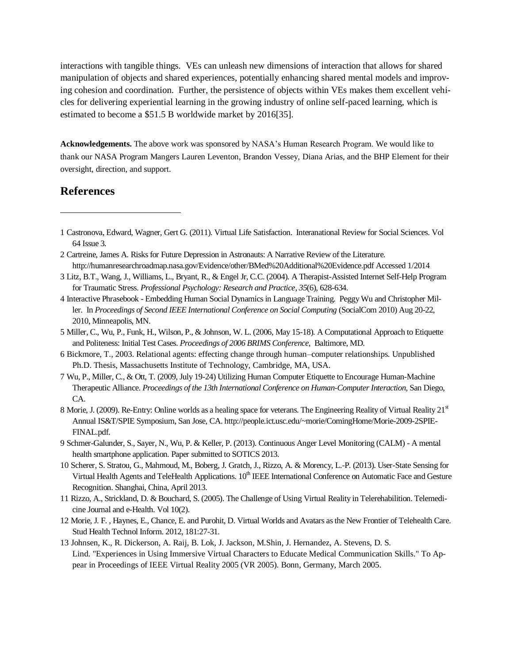interactions with tangible things. VEs can unleash new dimensions of interaction that allows for shared manipulation of objects and shared experiences, potentially enhancing shared mental models and improving cohesion and coordination. Further, the persistence of objects within VEs makes them excellent vehicles for delivering experiential learning in the growing industry of online self-paced learning, which is estimated to become a \$51.5 B worldwide market by 2016[35].

**Acknowledgements.** The above work was sponsored by NASA's Human Research Program. We would like to thank our NASA Program Mangers Lauren Leventon, Brandon Vessey, Diana Arias, and the BHP Element for their oversight, direction, and support.

## **References**

 $\overline{a}$ 

- 2 Cartreine, James A. Risks for Future Depression in Astronauts: A Narrative Review of the Literature. <http://humanresearchroadmap.nasa.gov/Evidence/other/BMed%20Additional%20Evidence.pdf> Accessed 1/2014
- 3 Litz, B.T., Wang, J., Williams, L., Bryant, R., & Engel Jr, C.C. (2004). A Therapist-Assisted Internet Self-Help Program for Traumatic Stress. *Professional Psychology: Research and Practice, 35*(6), 628-634.
- 4 Interactive Phrasebook Embedding Human Social Dynamics in Language Training. Peggy Wu and Christopher Miller. In *Proceedings of Second IEEE International Conference on Social Computing* (SocialCom 2010) Aug 20-22, 2010, Minneapolis, MN.
- 5 Miller, C., Wu, P., Funk, H., Wilson, P., & Johnson, W. L. (2006, May 15-18). [A Computational Approach to Etiquette](http://www.sift.net/publications/2006/initial-test-cases)  [and Politeness: Initial Test Cases.](http://www.sift.net/publications/2006/initial-test-cases) *Proceedings of 2006 BRIMS Conference*, Baltimore, MD.
- 6 Bickmore, T., 2003. Relational agents: effecting change through human–computer relationships. Unpublished Ph.D. Thesis, Massachusetts Institute of Technology, Cambridge, MA, USA.
- 7 Wu, P., Miller, C., & Ott, T. (2009, July 19-24) Utilizing Human Computer Etiquette to Encourage Human-Machine Therapeutic Alliance. *Proceedings of the 13th International Conference on Human-Computer Interaction,* San Diego, CA.
- 8 Morie, J. (2009). Re-Entry: Online worlds as a healing space for veterans. The Engineering Reality of Virtual Reality 21st Annual IS&T/SPIE Symposium, San Jose, CA[. http://people.ict.usc.edu/~morie/ComingHome/Morie-2009-2SPIE-](http://people.ict.usc.edu/~morie/ComingHome/Morie-2009-2SPIE-FINAL.pdf)[FINAL.pdf.](http://people.ict.usc.edu/~morie/ComingHome/Morie-2009-2SPIE-FINAL.pdf)
- 9 Schmer-Galunder, S., Sayer, N., Wu, P. & Keller, P. (2013). Continuous Anger Level Monitoring (CALM) A mental health smartphone application. Paper submitted to SOTICS 2013.
- 10 Scherer, S. Stratou, G., Mahmoud, M., Boberg, J. Gratch, J., Rizzo, A. & Morency, L.-P. (2013). User-State Sensing for Virtual Health Agents and TeleHealth Applications. 10<sup>th</sup> IEEE International Conference on Automatic Face and Gesture Recognition. Shanghai, China, April 2013.
- 11 Rizzo, A., Strickland, D. & Bouchard, S. (2005). The Challenge of Using Virtual Reality in Telerehabilition. Telemedicine Journal and e-Health. Vol 10(2).
- 12 Morie, J. F. , Haynes, E., Chance, E. and Purohit, D. Virtual Worlds and Avatars as the New Frontier of Telehealth Care. Stud Health Technol Inform. 2012, 181:27-31.
- 13 Johnsen, K., R. Dickerson, A. Raij, B. Lok, J. Jackson, M.Shin, J. Hernandez, A. Stevens, D. S. Lind. ["Experiences in Using Immersive Virtual Characters to Educate Medical Communication Skills."](http://www.cise.ufl.edu/research/vegroup/VOSCE/vr2005.html) To Appear in Proceedings of IEEE Virtual Reality 2005 (VR 2005). Bonn, Germany, March 2005.

<sup>1</sup> Castronova, Edward, Wagner, Gert G. (2011). Virtual Life Satisfaction. Interanational Review for Social Sciences. Vol 64 Issue 3.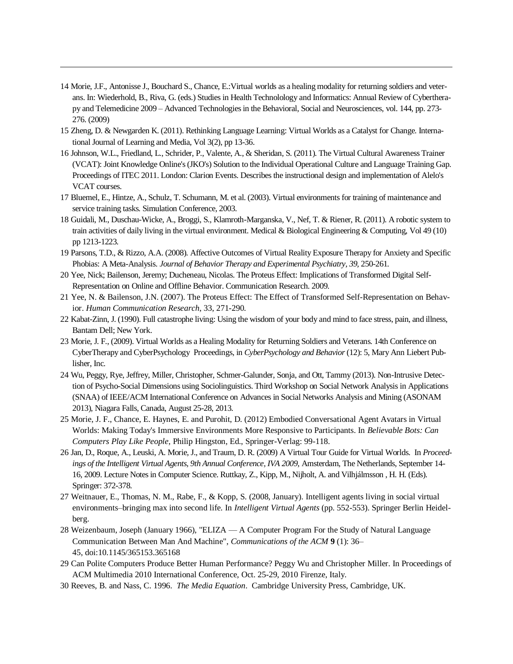14 Morie, J.F., Antonisse J., Bouchard S., Chance, E.:Virtual worlds as a healing modality for returning soldiers and veterans. In: Wiederhold, B., Riva, G. (eds.) Studies in Health Technolology and Informatics: Annual Review of Cybertherapy and Telemedicine 2009 – Advanced Technologies in the Behavioral, Social and Neurosciences, vol. 144, pp. 273- 276. (2009)

 $\overline{a}$ 

- 15 Zheng, D. & Newgarden K. (2011). Rethinking Language Learning: Virtual Worlds as a Catalyst for Change. International Journal of Learning and Media, Vol 3(2), pp 13-36.
- 16 Johnson, W.L., Friedland, L., Schrider, P., Valente, A., & Sheridan, S. (2011)[. The Virtual Cultural Awareness Trainer](http://www.alelo.com/files/VCAT_ITEC_2011_Johnson_Friedland_Schrider_Valente.pdf)  [\(VCAT\): Joint Knowledge Online's \(JKO's\) Solution to the Individual Operational Culture and Language Training Gap.](http://www.alelo.com/files/VCAT_ITEC_2011_Johnson_Friedland_Schrider_Valente.pdf) Proceedings of ITEC 2011. London: Clarion Events. Describes the instructional design and implementation of Alelo's VCAT courses.
- 17 Bluemel, E., Hintze, A., Schulz, T. Schumann, M. et al. (2003). Virtual environments for training of maintenance and service training tasks. Simulation Conference, 2003.
- 18 Guidali, M., Duschau-Wicke, A., Broggi, S., Klamroth-Marganska, V., Nef, T. & Riener, R. (2011). A robotic system to train activities of daily living in the virtual environment. Medical & Biological Engineering & Computing, Vol 49 (10) pp 1213-1223.
- 19 Parsons, T.D., & Rizzo, A.A. (2008). Affective Outcomes of Virtual Reality Exposure Therapy for Anxiety and Specific Phobias: A Meta-Analysis. *Journal of Behavior Therapy and Experimental Psychiatry, 39, 250-261.*
- 20 Yee, Nick; Bailenson, Jeremy; Ducheneau, Nicolas. The Proteus Effect: Implications of Transformed Digital Self-Representation on Online and Offline Behavior. Communication Research. 2009.
- 21 Yee, N. & Bailenson, J.N. (2007). The Proteus Effect: The Effect of Transformed Self-Representation on Behavior. *Human Communication Research*, 33, 271-290*.*
- 22 Kabat-Zinn, J. (1990). Full catastrophe living: Using the wisdom of your body and mind to face stress, pain, and illness, Bantam Dell; New York.
- 23 Morie, J. F., (2009). Virtual Worlds as a Healing Modality for Returning Soldiers and Veterans. 14th Conference on CyberTherapy and CyberPsychology Proceedings, in *CyberPsychology and Behavior* (12): 5, Mary Ann Liebert Publisher, Inc.
- 24 Wu, Peggy, Rye, Jeffrey, Miller, Christopher, Schmer-Galunder, Sonja, and Ott, Tammy (2013). Non-Intrusive Detection of Psycho-Social Dimensions using Sociolinguistics. Third Workshop on Social Network Analysis in Applications (SNAA) of IEEE/ACM International Conference on Advances in Social Networks Analysis and Mining (ASONAM 2013), Niagara Falls, Canada, August 25-28, 2013.
- 25 Morie, J. F., Chance, E. Haynes, E. and Purohit, D. (2012) Embodied Conversational Agent Avatars in Virtual Worlds: Making Today's Immersive Environments More Responsive to Participants. In *Believable Bots: Can Computers Play Like People*, Philip Hingston, Ed., Springer-Verlag: 99-118.
- 26 Jan, D., Roque, A., Leuski, A. Morie, J., and Traum, D. R. (2009) A Virtual Tour Guide for Virtual Worlds. In *Proceedings of the Intelligent Virtual Agents, 9th Annual Conference, IVA 2009*, Amsterdam, The Netherlands, September 14- 16, 2009. Lecture Notes in Computer Science. Ruttkay, Z., Kipp, M., Nijholt, A. and Vilhjálmsson , H. H. (Eds). Springer: 372-378.
- 27 Weitnauer, E., Thomas, N. M., Rabe, F., & Kopp, S. (2008, January). Intelligent agents living in social virtual environments–bringing max into second life. In *Intelligent Virtual Agents* (pp. 552-553). Springer Berlin Heidelberg.
- 28 [Weizenbaum, Joseph](https://simple.wikipedia.org/w/index.php?title=Joseph_Weizenbaum&action=edit&redlink=1) (January 1966), "ELIZA A Computer Program For the Study of Natural Language Communication Between Man And Machine", *[Communications of the ACM](https://simple.wikipedia.org/w/index.php?title=Communications_of_the_ACM&action=edit&redlink=1)* **9** (1): 36– 45, [doi](https://simple.wikipedia.org/wiki/Digital_object_identifier)[:10.1145/365153.365168](http://dx.doi.org/10.1145%2F365153.365168)
- 29 Can Polite Computers Produce Better Human Performance? Peggy Wu and Christopher Miller. In Proceedings of ACM Multimedia 2010 International Conference, Oct. 25-29, 2010 Firenze, Italy.
- 30 Reeves, B. and Nass, C. 1996. *The Media Equation*. Cambridge University Press, Cambridge, UK.